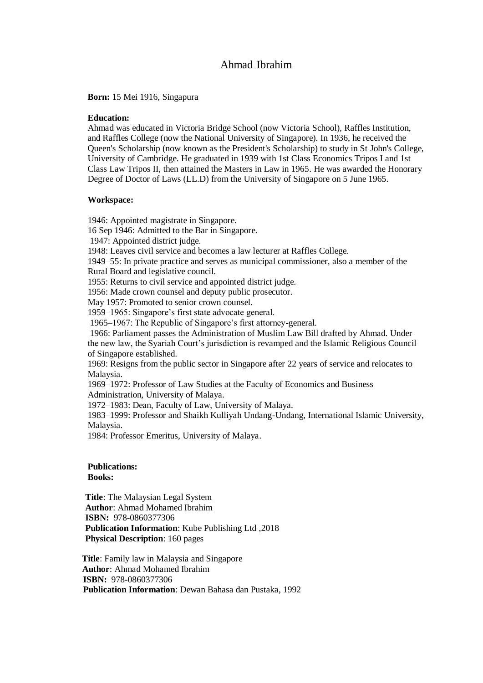# Ahmad Ibrahim

**Born:** 15 Mei 1916, Singapura

#### **Education:**

Ahmad was educated in Victoria Bridge School (now Victoria School), Raffles Institution, and Raffles College (now the National University of Singapore). In 1936, he received the Queen's Scholarship (now known as the President's Scholarship) to study in St John's College, University of Cambridge. He graduated in 1939 with 1st Class Economics Tripos I and 1st Class Law Tripos II, then attained the Masters in Law in 1965. He was awarded the Honorary Degree of Doctor of Laws (LL.D) from the University of Singapore on 5 June 1965.

#### **Workspace:**

1946: Appointed magistrate in Singapore.

16 Sep 1946: Admitted to the Bar in Singapore.

1947: Appointed district judge.

1948: Leaves civil service and becomes a law lecturer at Raffles College.

1949–55: In private practice and serves as municipal commissioner, also a member of the Rural Board and legislative council.

1955: Returns to civil service and appointed district judge.

1956: Made crown counsel and deputy public prosecutor.

May 1957: Promoted to senior crown counsel.

1959–1965: Singapore's first state advocate general.

1965–1967: The Republic of Singapore's first attorney-general.

1966: Parliament passes the Administration of Muslim Law Bill drafted by Ahmad. Under the new law, the Syariah Court's jurisdiction is revamped and the Islamic Religious Council of Singapore established.

1969: Resigns from the public sector in Singapore after 22 years of service and relocates to Malaysia.

1969–1972: Professor of Law Studies at the Faculty of Economics and Business Administration, University of Malaya.

1972–1983: Dean, Faculty of Law, University of Malaya.

1983–1999: Professor and Shaikh Kulliyah Undang-Undang, International Islamic University, Malaysia.

1984: Professor Emeritus, University of Malaya.

### **Publications:**

**Books:**

 **Title**: The Malaysian Legal System **Author**: Ahmad Mohamed Ibrahim  **ISBN:** 978-0860377306 **Publication Information**: Kube Publishing Ltd ,2018 **Physical Description**: 160 pages

 **Title**: Family law in Malaysia and Singapore  **Author**: Ahmad Mohamed Ibrahim  **ISBN:** 978-0860377306 **Publication Information**: Dewan Bahasa dan Pustaka, 1992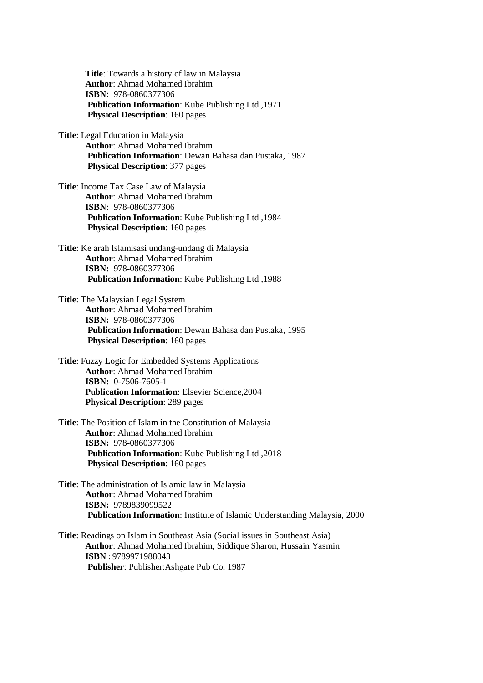**Title**: Towards a history of law in Malaysia **Author**: Ahmad Mohamed Ibrahim  **ISBN:** 978-0860377306 **Publication Information**: Kube Publishing Ltd ,1971 **Physical Description**: 160 pages

**Title**: Legal Education in Malaysia **Author**: Ahmad Mohamed Ibrahim **Publication Information**: Dewan Bahasa dan Pustaka, 1987 **Physical Description**: 377 pages

- **Title**: Income Tax Case Law of Malaysia **Author**: Ahmad Mohamed Ibrahim  **ISBN:** 978-0860377306 **Publication Information**: Kube Publishing Ltd ,1984 **Physical Description**: 160 pages
- **Title**: Ke arah Islamisasi undang-undang di Malaysia **Author**: Ahmad Mohamed Ibrahim  **ISBN:** 978-0860377306 **Publication Information**: Kube Publishing Ltd ,1988
- **Title**: The Malaysian Legal System **Author**: Ahmad Mohamed Ibrahim  **ISBN:** 978-0860377306 **Publication Information**: Dewan Bahasa dan Pustaka, 1995 **Physical Description**: 160 pages
- **Title**: Fuzzy Logic for Embedded Systems Applications **Author**: Ahmad Mohamed Ibrahim  **ISBN:** 0-7506-7605-1 **Publication Information**: Elsevier Science,2004 **Physical Description**: 289 pages
- **Title**: The Position of Islam in the Constitution of Malaysia **Author**: Ahmad Mohamed Ibrahim  **ISBN:** 978-0860377306 **Publication Information**: Kube Publishing Ltd ,2018 **Physical Description**: 160 pages
- **Title**: The administration of Islamic law in Malaysia **Author**: Ahmad Mohamed Ibrahim  **ISBN:** 9789839099522 **Publication Information**: Institute of Islamic Understanding Malaysia, 2000

**Title**: Readings on Islam in Southeast Asia (Social issues in Southeast Asia) **Author**: Ahmad Mohamed Ibrahim, Siddique Sharon, Hussain Yasmin  **ISBN** : 9789971988043 **Publisher**: Publisher:Ashgate Pub Co, 1987